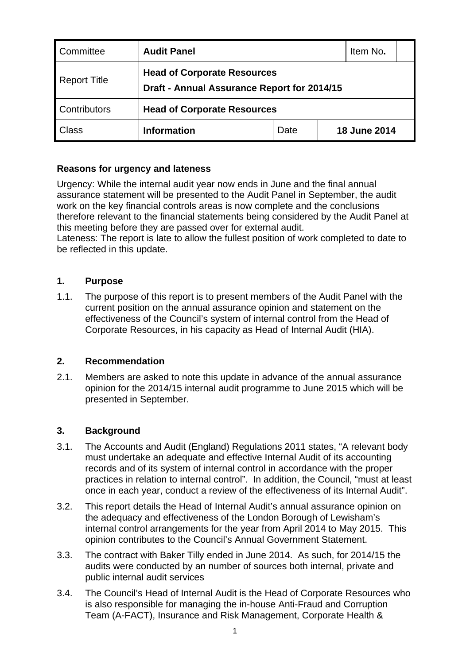| Committee           | <b>Audit Panel</b>                                                                | Item No.                           |                     |  |  |  |  |  |  |
|---------------------|-----------------------------------------------------------------------------------|------------------------------------|---------------------|--|--|--|--|--|--|
| <b>Report Title</b> | <b>Head of Corporate Resources</b><br>Draft - Annual Assurance Report for 2014/15 |                                    |                     |  |  |  |  |  |  |
| Contributors        |                                                                                   | <b>Head of Corporate Resources</b> |                     |  |  |  |  |  |  |
| <b>Class</b>        | <b>Information</b>                                                                | Date                               | <b>18 June 2014</b> |  |  |  |  |  |  |

# **Reasons for urgency and lateness**

Urgency: While the internal audit year now ends in June and the final annual assurance statement will be presented to the Audit Panel in September, the audit work on the key financial controls areas is now complete and the conclusions therefore relevant to the financial statements being considered by the Audit Panel at this meeting before they are passed over for external audit.

Lateness: The report is late to allow the fullest position of work completed to date to be reflected in this update.

#### **1. Purpose**

1.1. The purpose of this report is to present members of the Audit Panel with the current position on the annual assurance opinion and statement on the effectiveness of the Council's system of internal control from the Head of Corporate Resources, in his capacity as Head of Internal Audit (HIA).

#### **2. Recommendation**

2.1. Members are asked to note this update in advance of the annual assurance opinion for the 2014/15 internal audit programme to June 2015 which will be presented in September.

# **3. Background**

- 3.1. The Accounts and Audit (England) Regulations 2011 states, "A relevant body must undertake an adequate and effective Internal Audit of its accounting records and of its system of internal control in accordance with the proper practices in relation to internal control". In addition, the Council, "must at least once in each year, conduct a review of the effectiveness of its Internal Audit".
- 3.2. This report details the Head of Internal Audit's annual assurance opinion on the adequacy and effectiveness of the London Borough of Lewisham's internal control arrangements for the year from April 2014 to May 2015. This opinion contributes to the Council's Annual Government Statement.
- 3.3. The contract with Baker Tilly ended in June 2014. As such, for 2014/15 the audits were conducted by an number of sources both internal, private and public internal audit services
- 3.4. The Council's Head of Internal Audit is the Head of Corporate Resources who is also responsible for managing the in-house Anti-Fraud and Corruption Team (A-FACT), Insurance and Risk Management, Corporate Health &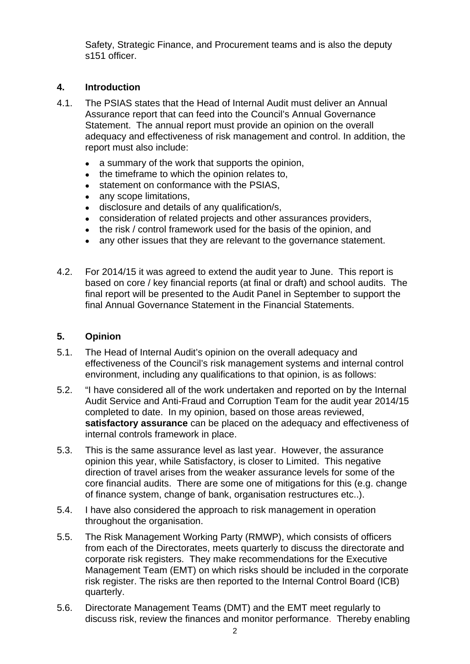Safety, Strategic Finance, and Procurement teams and is also the deputy s151 officer.

# **4. Introduction**

- 4.1. The PSIAS states that the Head of Internal Audit must deliver an Annual Assurance report that can feed into the Council's Annual Governance Statement. The annual report must provide an opinion on the overall adequacy and effectiveness of risk management and control. In addition, the report must also include:
	- a summary of the work that supports the opinion.
	- $\bullet$  the timeframe to which the opinion relates to,
	- statement on conformance with the PSIAS,
	- any scope limitations.
	- disclosure and details of any qualification/s,
	- consideration of related projects and other assurances providers,
	- the risk / control framework used for the basis of the opinion, and
	- any other issues that they are relevant to the governance statement.
- 4.2. For 2014/15 it was agreed to extend the audit year to June. This report is based on core / key financial reports (at final or draft) and school audits. The final report will be presented to the Audit Panel in September to support the final Annual Governance Statement in the Financial Statements.

#### **5. Opinion**

- 5.1. The Head of Internal Audit's opinion on the overall adequacy and effectiveness of the Council's risk management systems and internal control environment, including any qualifications to that opinion, is as follows:
- 5.2. "I have considered all of the work undertaken and reported on by the Internal Audit Service and Anti-Fraud and Corruption Team for the audit year 2014/15 completed to date. In my opinion, based on those areas reviewed, **satisfactory assurance** can be placed on the adequacy and effectiveness of internal controls framework in place.
- 5.3. This is the same assurance level as last year. However, the assurance opinion this year, while Satisfactory, is closer to Limited. This negative direction of travel arises from the weaker assurance levels for some of the core financial audits. There are some one of mitigations for this (e.g. change of finance system, change of bank, organisation restructures etc..).
- 5.4. I have also considered the approach to risk management in operation throughout the organisation.
- 5.5. The Risk Management Working Party (RMWP), which consists of officers from each of the Directorates, meets quarterly to discuss the directorate and corporate risk registers. They make recommendations for the Executive Management Team (EMT) on which risks should be included in the corporate risk register. The risks are then reported to the Internal Control Board (ICB) quarterly.
- 5.6. Directorate Management Teams (DMT) and the EMT meet regularly to discuss risk, review the finances and monitor performance. Thereby enabling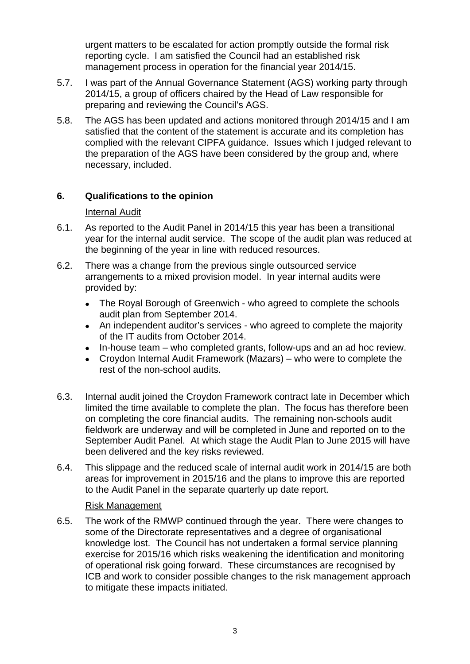urgent matters to be escalated for action promptly outside the formal risk reporting cycle. I am satisfied the Council had an established risk management process in operation for the financial year 2014/15.

- 5.7. I was part of the Annual Governance Statement (AGS) working party through 2014/15, a group of officers chaired by the Head of Law responsible for preparing and reviewing the Council's AGS.
- 5.8. The AGS has been updated and actions monitored through 2014/15 and I am satisfied that the content of the statement is accurate and its completion has complied with the relevant CIPFA guidance. Issues which I judged relevant to the preparation of the AGS have been considered by the group and, where necessary, included.

# **6. Qualifications to the opinion**

#### Internal Audit

- 6.1. As reported to the Audit Panel in 2014/15 this year has been a transitional year for the internal audit service. The scope of the audit plan was reduced at the beginning of the year in line with reduced resources.
- 6.2. There was a change from the previous single outsourced service arrangements to a mixed provision model. In year internal audits were provided by:
	- The Royal Borough of Greenwich who agreed to complete the schools audit plan from September 2014.
	- An independent auditor's services who agreed to complete the majority of the IT audits from October 2014.
	- In-house team who completed grants, follow-ups and an ad hoc review.
	- Croydon Internal Audit Framework (Mazars) who were to complete the rest of the non-school audits.
- 6.3. Internal audit joined the Croydon Framework contract late in December which limited the time available to complete the plan. The focus has therefore been on completing the core financial audits. The remaining non-schools audit fieldwork are underway and will be completed in June and reported on to the September Audit Panel. At which stage the Audit Plan to June 2015 will have been delivered and the key risks reviewed.
- 6.4. This slippage and the reduced scale of internal audit work in 2014/15 are both areas for improvement in 2015/16 and the plans to improve this are reported to the Audit Panel in the separate quarterly up date report.

#### Risk Management

6.5. The work of the RMWP continued through the year. There were changes to some of the Directorate representatives and a degree of organisational knowledge lost. The Council has not undertaken a formal service planning exercise for 2015/16 which risks weakening the identification and monitoring of operational risk going forward. These circumstances are recognised by ICB and work to consider possible changes to the risk management approach to mitigate these impacts initiated.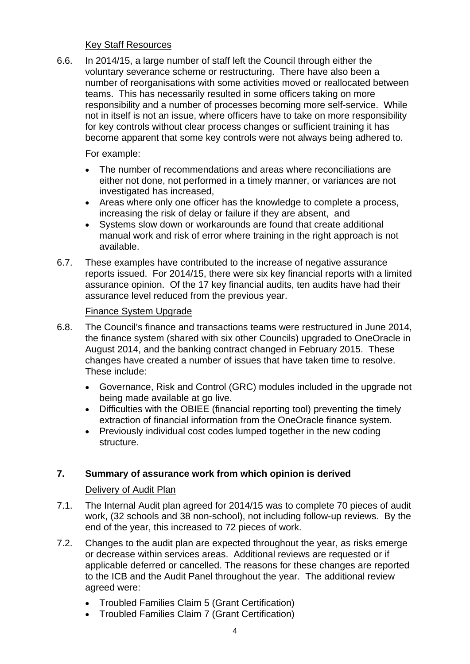#### Key Staff Resources

6.6. In 2014/15, a large number of staff left the Council through either the voluntary severance scheme or restructuring. There have also been a number of reorganisations with some activities moved or reallocated between teams. This has necessarily resulted in some officers taking on more responsibility and a number of processes becoming more self-service. While not in itself is not an issue, where officers have to take on more responsibility for key controls without clear process changes or sufficient training it has become apparent that some key controls were not always being adhered to.

For example:

- The number of recommendations and areas where reconciliations are either not done, not performed in a timely manner, or variances are not investigated has increased,
- Areas where only one officer has the knowledge to complete a process, increasing the risk of delay or failure if they are absent, and
- Systems slow down or workarounds are found that create additional manual work and risk of error where training in the right approach is not available.
- 6.7. These examples have contributed to the increase of negative assurance reports issued. For 2014/15, there were six key financial reports with a limited assurance opinion. Of the 17 key financial audits, ten audits have had their assurance level reduced from the previous year.

# Finance System Upgrade

- 6.8. The Council's finance and transactions teams were restructured in June 2014, the finance system (shared with six other Councils) upgraded to OneOracle in August 2014, and the banking contract changed in February 2015. These changes have created a number of issues that have taken time to resolve. These include:
	- Governance, Risk and Control (GRC) modules included in the upgrade not being made available at go live.
	- Difficulties with the OBIEE (financial reporting tool) preventing the timely extraction of financial information from the OneOracle finance system.
	- Previously individual cost codes lumped together in the new coding structure.

# **7. Summary of assurance work from which opinion is derived**

Delivery of Audit Plan

- 7.1. The Internal Audit plan agreed for 2014/15 was to complete 70 pieces of audit work, (32 schools and 38 non-school), not including follow-up reviews. By the end of the year, this increased to 72 pieces of work.
- 7.2. Changes to the audit plan are expected throughout the year, as risks emerge or decrease within services areas. Additional reviews are requested or if applicable deferred or cancelled. The reasons for these changes are reported to the ICB and the Audit Panel throughout the year. The additional review agreed were:
	- Troubled Families Claim 5 (Grant Certification)
	- Troubled Families Claim 7 (Grant Certification)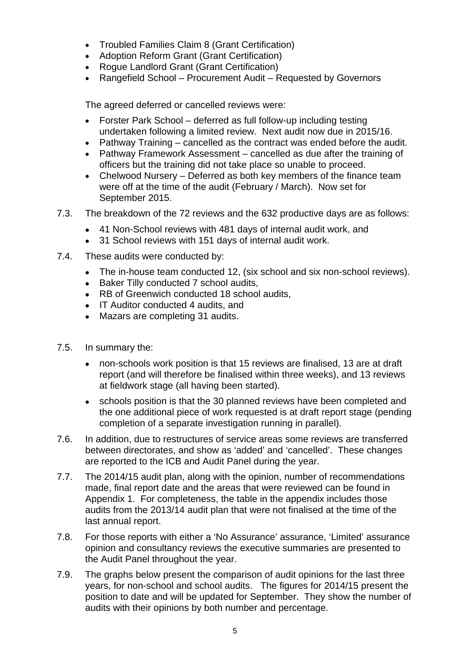- Troubled Families Claim 8 (Grant Certification)
- Adoption Reform Grant (Grant Certification)
- Rogue Landlord Grant (Grant Certification)
- Rangefield School Procurement Audit Requested by Governors

The agreed deferred or cancelled reviews were:

- Forster Park School deferred as full follow-up including testing undertaken following a limited review. Next audit now due in 2015/16.
- Pathway Training cancelled as the contract was ended before the audit.
- Pathway Framework Assessment cancelled as due after the training of officers but the training did not take place so unable to proceed.
- Chelwood Nursery Deferred as both key members of the finance team were off at the time of the audit (February / March). Now set for September 2015.
- 7.3. The breakdown of the 72 reviews and the 632 productive days are as follows:
	- 41 Non-School reviews with 481 days of internal audit work, and
	- 31 School reviews with 151 days of internal audit work.
- 7.4. These audits were conducted by:
	- The in-house team conducted 12, (six school and six non-school reviews).
	- Baker Tilly conducted 7 school audits,
	- RB of Greenwich conducted 18 school audits,
	- IT Auditor conducted 4 audits, and
	- Mazars are completing 31 audits.
- 7.5. In summary the:
	- non-schools work position is that 15 reviews are finalised, 13 are at draft report (and will therefore be finalised within three weeks), and 13 reviews at fieldwork stage (all having been started).
	- schools position is that the 30 planned reviews have been completed and the one additional piece of work requested is at draft report stage (pending completion of a separate investigation running in parallel).
- 7.6. In addition, due to restructures of service areas some reviews are transferred between directorates, and show as 'added' and 'cancelled'. These changes are reported to the ICB and Audit Panel during the year.
- 7.7. The 2014/15 audit plan, along with the opinion, number of recommendations made, final report date and the areas that were reviewed can be found in Appendix 1. For completeness, the table in the appendix includes those audits from the 2013/14 audit plan that were not finalised at the time of the last annual report.
- 7.8. For those reports with either a 'No Assurance' assurance, 'Limited' assurance opinion and consultancy reviews the executive summaries are presented to the Audit Panel throughout the year.
- 7.9. The graphs below present the comparison of audit opinions for the last three years, for non-school and school audits. The figures for 2014/15 present the position to date and will be updated for September. They show the number of audits with their opinions by both number and percentage.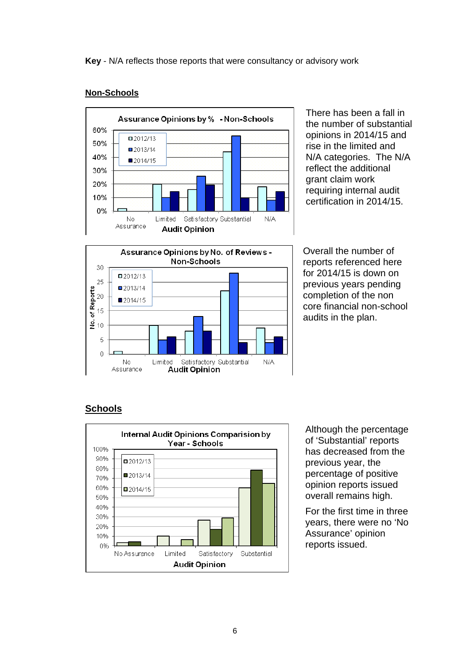#### Assurance Opinions by % - Non-Schools 60%  $\Box$  2012/13 50%  $2013/14$ 40% ■2014/15 30% 20% 10% 0% No Limited Satisfactory Substantial  $N/A$ Assurance **Audit Opinion**

There has been a fall in the number of substantial opinions in 2014/15 and rise in the limited and N/A categories. The N/A reflect the additional grant claim work requiring internal audit certification in 2014/15.



Overall the number of reports referenced here for 2014/15 is down on previous years pending completion of the non core financial non-school audits in the plan.

# **Schools**



Although the percentage of 'Substantial' reports has decreased from the previous year, the percentage of positive opinion reports issued overall remains high.

For the first time in three years, there were no 'No Assurance' opinion reports issued.

# **Non-Schools**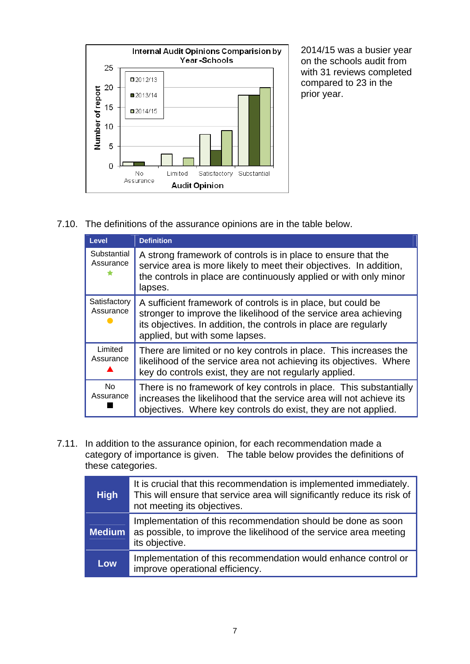

2014/15 was a busier year on the schools audit from with 31 reviews completed compared to 23 in the prior year.

7.10. The definitions of the assurance opinions are in the table below.

| Level                         | <b>Definition</b>                                                                                                                                                                                                                      |
|-------------------------------|----------------------------------------------------------------------------------------------------------------------------------------------------------------------------------------------------------------------------------------|
| Substantial<br>Assurance<br>÷ | A strong framework of controls is in place to ensure that the<br>service area is more likely to meet their objectives. In addition,<br>the controls in place are continuously applied or with only minor<br>lapses.                    |
| Satisfactory<br>Assurance     | A sufficient framework of controls is in place, but could be<br>stronger to improve the likelihood of the service area achieving<br>its objectives. In addition, the controls in place are regularly<br>applied, but with some lapses. |
| Limited<br>Assurance          | There are limited or no key controls in place. This increases the<br>likelihood of the service area not achieving its objectives. Where<br>key do controls exist, they are not regularly applied.                                      |
| <b>No</b><br>Assurance        | There is no framework of key controls in place. This substantially<br>increases the likelihood that the service area will not achieve its<br>objectives. Where key controls do exist, they are not applied.                            |

7.11. In addition to the assurance opinion, for each recommendation made a category of importance is given. The table below provides the definitions of these categories.

| <b>High</b>   | It is crucial that this recommendation is implemented immediately.<br>This will ensure that service area will significantly reduce its risk of<br>not meeting its objectives. |
|---------------|-------------------------------------------------------------------------------------------------------------------------------------------------------------------------------|
| <b>Medium</b> | Implementation of this recommendation should be done as soon<br>as possible, to improve the likelihood of the service area meeting<br>its objective.                          |
| Low           | Implementation of this recommendation would enhance control or<br>improve operational efficiency.                                                                             |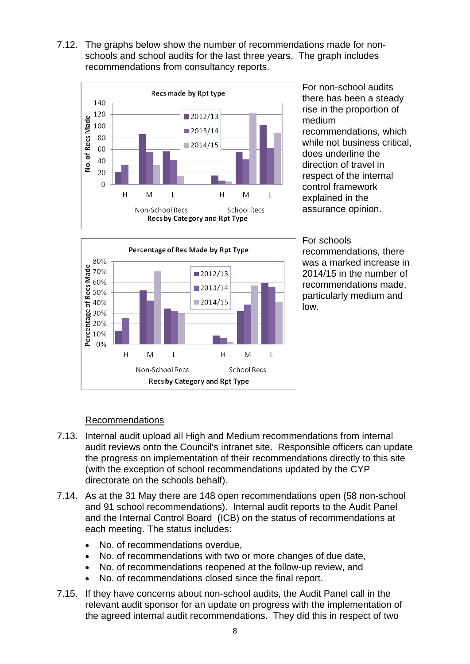7.12. The graphs below show the number of recommendations made for nonschools and school audits for the last three years. The graph includes recommendations from consultancy reports.



For non-school audits there has been a steady rise in the proportion of medium recommendations, which while not business critical, does underline the direction of travel in respect of the internal control framework explained in the assurance opinion.



For schools recommendations, there was a marked increase in 2014/15 in the number of recommendations made, particularly medium and low.

# Recommendations

- 7.13. Internal audit upload all High and Medium recommendations from internal audit reviews onto the Council's intranet site. Responsible officers can update the progress on implementation of their recommendations directly to this site (with the exception of school recommendations updated by the CYP directorate on the schools behalf).
- 7.14. As at the 31 May there are 148 open recommendations open (58 non-school and 91 school recommendations). Internal audit reports to the Audit Panel and the Internal Control Board (ICB) on the status of recommendations at each meeting. The status includes:
	- No. of recommendations overdue,
	- No. of recommendations with two or more changes of due date,
	- No. of recommendations reopened at the follow-up review, and
	- No. of recommendations closed since the final report.
- 7.15. If they have concerns about non-school audits, the Audit Panel call in the relevant audit sponsor for an update on progress with the implementation of the agreed internal audit recommendations. They did this in respect of two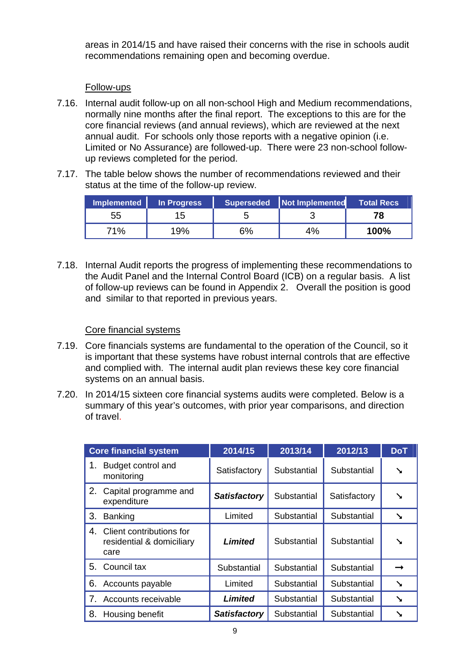areas in 2014/15 and have raised their concerns with the rise in schools audit recommendations remaining open and becoming overdue.

#### Follow-ups

- 7.16. Internal audit follow-up on all non-school High and Medium recommendations, normally nine months after the final report. The exceptions to this are for the core financial reviews (and annual reviews), which are reviewed at the next annual audit. For schools only those reports with a negative opinion (i.e. Limited or No Assurance) are followed-up. There were 23 non-school followup reviews completed for the period.
- 7.17. The table below shows the number of recommendations reviewed and their status at the time of the follow-up review.

| Implemented | In Progress |    | Superseded Not Implemented | <b>Total Recs</b> |
|-------------|-------------|----|----------------------------|-------------------|
| 55          | 15          |    |                            | 78.               |
| 71%         | 19%         | 6% | 4%                         | 100%              |

7.18. Internal Audit reports the progress of implementing these recommendations to the Audit Panel and the Internal Control Board (ICB) on a regular basis. A list of follow-up reviews can be found in Appendix 2. Overall the position is good and similar to that reported in previous years.

#### Core financial systems

- 7.19. Core financials systems are fundamental to the operation of the Council, so it is important that these systems have robust internal controls that are effective and complied with. The internal audit plan reviews these key core financial systems on an annual basis.
- 7.20. In 2014/15 sixteen core financial systems audits were completed. Below is a summary of this year's outcomes, with prior year comparisons, and direction of travel.

|    | <b>Core financial system</b>                                  | 2014/15             | 2013/14     | 2012/13      | <b>DoT</b> |
|----|---------------------------------------------------------------|---------------------|-------------|--------------|------------|
| 1. | Budget control and<br>monitoring                              | Satisfactory        | Substantial | Substantial  | ↘          |
| 2. | Capital programme and<br>expenditure                          | <b>Satisfactory</b> | Substantial | Satisfactory | ╲          |
| 3. | <b>Banking</b>                                                | Limited             | Substantial | Substantial  | ↘          |
| 4. | Client contributions for<br>residential & domiciliary<br>care | Limited             | Substantial | Substantial  | ↘          |
| 5. | Council tax                                                   | Substantial         | Substantial | Substantial  |            |
| 6. | Accounts payable                                              | Limited             | Substantial | Substantial  | ↘          |
|    | Accounts receivable                                           | Limited             | Substantial | Substantial  |            |
| 8. | Housing benefit                                               | <b>Satisfactory</b> | Substantial | Substantial  |            |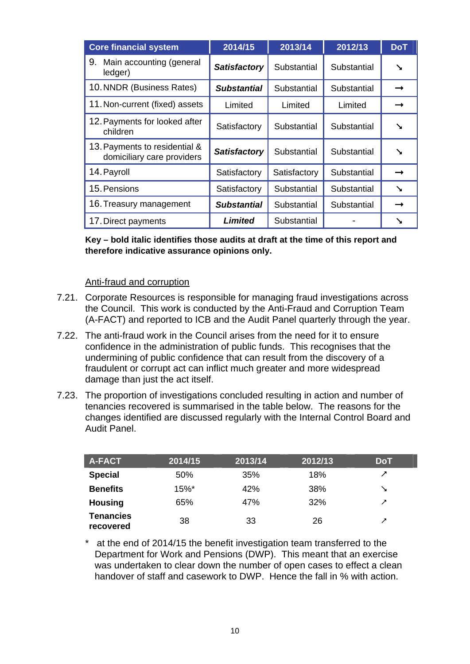| <b>Core financial system</b>                                | 2014/15             | 2013/14      | 2012/13     | <b>DoT</b>    |
|-------------------------------------------------------------|---------------------|--------------|-------------|---------------|
| 9.<br>Main accounting (general<br>ledger)                   | <b>Satisfactory</b> | Substantial  | Substantial | ╲             |
| 10. NNDR (Business Rates)                                   | Substantial         | Substantial  | Substantial |               |
| 11. Non-current (fixed) assets                              | Limited             | Limited      | Limited     |               |
| 12. Payments for looked after<br>children                   | Satisfactory        | Substantial  | Substantial | ╲             |
| 13. Payments to residential &<br>domiciliary care providers | <b>Satisfactory</b> | Substantial  | Substantial | ╲             |
| 14. Payroll                                                 | Satisfactory        | Satisfactory | Substantial | →             |
| 15. Pensions                                                | Satisfactory        | Substantial  | Substantial | ╲             |
| 16. Treasury management                                     | Substantial         | Substantial  | Substantial | $\rightarrow$ |
| 17. Direct payments                                         | <b>Limited</b>      | Substantial  |             |               |

**Key – bold italic identifies those audits at draft at the time of this report and therefore indicative assurance opinions only.** 

#### Anti-fraud and corruption

- 7.21. Corporate Resources is responsible for managing fraud investigations across the Council. This work is conducted by the Anti-Fraud and Corruption Team (A-FACT) and reported to ICB and the Audit Panel quarterly through the year.
- 7.22. The anti-fraud work in the Council arises from the need for it to ensure confidence in the administration of public funds. This recognises that the undermining of public confidence that can result from the discovery of a fraudulent or corrupt act can inflict much greater and more widespread damage than just the act itself.
- 7.23. The proportion of investigations concluded resulting in action and number of tenancies recovered is summarised in the table below. The reasons for the changes identified are discussed regularly with the Internal Control Board and Audit Panel.

| <b>A-FACT</b>                 | 2014/15 | 2013/14 | 2012/13 | <b>DoT</b> |
|-------------------------------|---------|---------|---------|------------|
| <b>Special</b>                | 50%     | 35%     | 18%     | ↗          |
| <b>Benefits</b>               | 15%*    | 42%     | 38%     | ↘          |
| <b>Housing</b>                | 65%     | 47%     | 32%     | ↗          |
| <b>Tenancies</b><br>recovered | 38      | 33      | 26      | ↗          |

\* at the end of 2014/15 the benefit investigation team transferred to the Department for Work and Pensions (DWP). This meant that an exercise was undertaken to clear down the number of open cases to effect a clean handover of staff and casework to DWP. Hence the fall in % with action.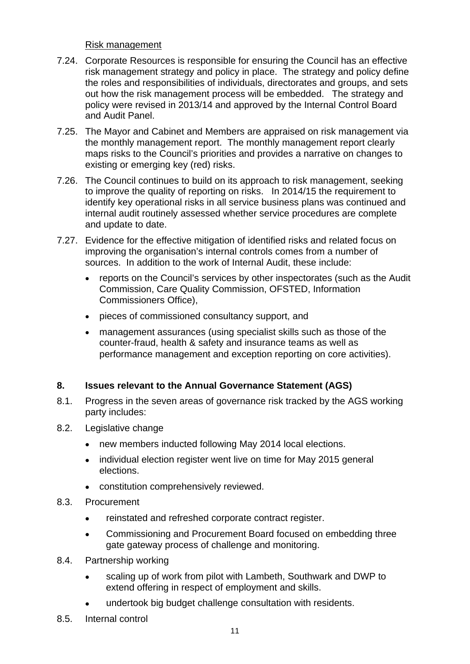Risk management

- 7.24. Corporate Resources is responsible for ensuring the Council has an effective risk management strategy and policy in place. The strategy and policy define the roles and responsibilities of individuals, directorates and groups, and sets out how the risk management process will be embedded. The strategy and policy were revised in 2013/14 and approved by the Internal Control Board and Audit Panel.
- 7.25. The Mayor and Cabinet and Members are appraised on risk management via the monthly management report. The monthly management report clearly maps risks to the Council's priorities and provides a narrative on changes to existing or emerging key (red) risks.
- 7.26. The Council continues to build on its approach to risk management, seeking to improve the quality of reporting on risks. In 2014/15 the requirement to identify key operational risks in all service business plans was continued and internal audit routinely assessed whether service procedures are complete and update to date.
- 7.27. Evidence for the effective mitigation of identified risks and related focus on improving the organisation's internal controls comes from a number of sources. In addition to the work of Internal Audit, these include:
	- reports on the Council's services by other inspectorates (such as the Audit Commission, Care Quality Commission, OFSTED, Information Commissioners Office),
	- pieces of commissioned consultancy support, and
	- management assurances (using specialist skills such as those of the counter-fraud, health & safety and insurance teams as well as performance management and exception reporting on core activities).

# **8. Issues relevant to the Annual Governance Statement (AGS)**

- 8.1. Progress in the seven areas of governance risk tracked by the AGS working party includes:
- 8.2. Legislative change
	- new members inducted following May 2014 local elections.
	- individual election register went live on time for May 2015 general elections.
	- constitution comprehensively reviewed.
- 8.3. Procurement
	- reinstated and refreshed corporate contract register.
	- Commissioning and Procurement Board focused on embedding three gate gateway process of challenge and monitoring.
- 8.4. Partnership working
	- scaling up of work from pilot with Lambeth, Southwark and DWP to extend offering in respect of employment and skills.
	- undertook big budget challenge consultation with residents.
- 8.5. Internal control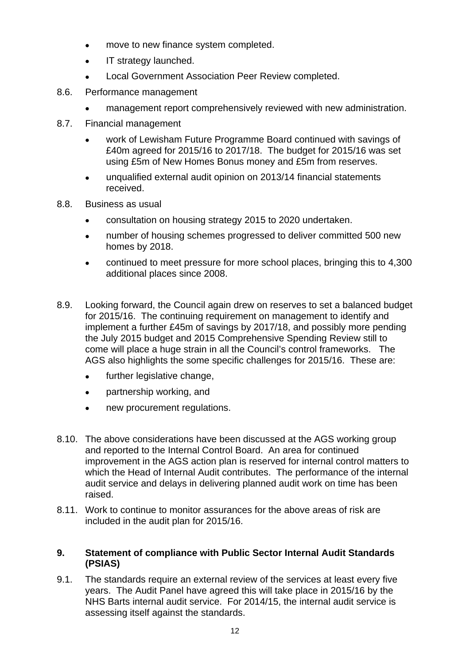- move to new finance system completed.
- IT strategy launched.
- Local Government Association Peer Review completed.
- 8.6. Performance management
	- management report comprehensively reviewed with new administration.
- 8.7. Financial management
	- work of Lewisham Future Programme Board continued with savings of £40m agreed for 2015/16 to 2017/18. The budget for 2015/16 was set using £5m of New Homes Bonus money and £5m from reserves.
	- unqualified external audit opinion on 2013/14 financial statements received.
- 8.8. Business as usual
	- consultation on housing strategy 2015 to 2020 undertaken.
	- number of housing schemes progressed to deliver committed 500 new homes by 2018.
	- continued to meet pressure for more school places, bringing this to 4,300 additional places since 2008.
- 8.9. Looking forward, the Council again drew on reserves to set a balanced budget for 2015/16. The continuing requirement on management to identify and implement a further £45m of savings by 2017/18, and possibly more pending the July 2015 budget and 2015 Comprehensive Spending Review still to come will place a huge strain in all the Council's control frameworks. The AGS also highlights the some specific challenges for 2015/16. These are:
	- further legislative change,
	- partnership working, and
	- new procurement regulations.
- 8.10. The above considerations have been discussed at the AGS working group and reported to the Internal Control Board. An area for continued improvement in the AGS action plan is reserved for internal control matters to which the Head of Internal Audit contributes. The performance of the internal audit service and delays in delivering planned audit work on time has been raised.
- 8.11. Work to continue to monitor assurances for the above areas of risk are included in the audit plan for 2015/16.

# **9. Statement of compliance with Public Sector Internal Audit Standards (PSIAS)**

9.1. The standards require an external review of the services at least every five years. The Audit Panel have agreed this will take place in 2015/16 by the NHS Barts internal audit service. For 2014/15, the internal audit service is assessing itself against the standards.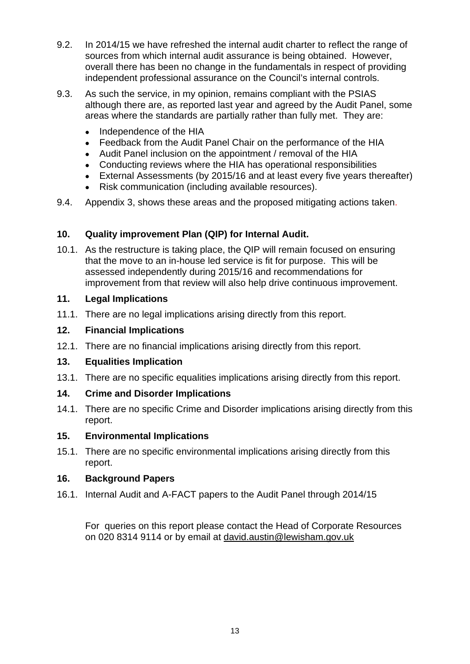- 9.2. In 2014/15 we have refreshed the internal audit charter to reflect the range of sources from which internal audit assurance is being obtained. However, overall there has been no change in the fundamentals in respect of providing independent professional assurance on the Council's internal controls.
- 9.3. As such the service, in my opinion, remains compliant with the PSIAS although there are, as reported last year and agreed by the Audit Panel, some areas where the standards are partially rather than fully met. They are:
	- Independence of the HIA
	- Feedback from the Audit Panel Chair on the performance of the HIA
	- Audit Panel inclusion on the appointment / removal of the HIA
	- Conducting reviews where the HIA has operational responsibilities
	- External Assessments (by 2015/16 and at least every five years thereafter)
	- Risk communication (including available resources).
- 9.4. Appendix 3, shows these areas and the proposed mitigating actions taken.

# **10. Quality improvement Plan (QIP) for Internal Audit.**

10.1. As the restructure is taking place, the QIP will remain focused on ensuring that the move to an in-house led service is fit for purpose. This will be assessed independently during 2015/16 and recommendations for improvement from that review will also help drive continuous improvement.

# **11. Legal Implications**

11.1. There are no legal implications arising directly from this report.

# **12. Financial Implications**

12.1. There are no financial implications arising directly from this report.

# **13. Equalities Implication**

13.1. There are no specific equalities implications arising directly from this report.

# **14. Crime and Disorder Implications**

14.1. There are no specific Crime and Disorder implications arising directly from this report.

# **15. Environmental Implications**

15.1. There are no specific environmental implications arising directly from this report.

# **16. Background Papers**

16.1. Internal Audit and A-FACT papers to the Audit Panel through 2014/15

For queries on this report please contact the Head of Corporate Resources on 020 8314 9114 or by email at [david.austin@lewisham.gov.uk](mailto:david.austin@lewisham.gov.uk)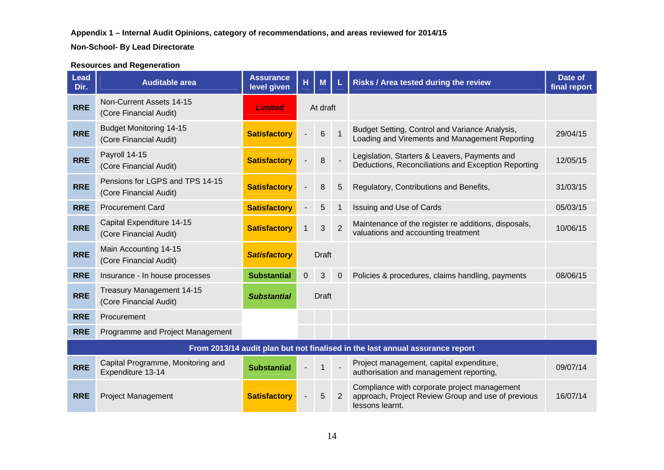#### **Non-School- By Lead Directorate**

#### **Resources and Regeneration**

| <b>Lead</b><br>Dir. | <b>Auditable area</b>                                     | <b>Assurance</b><br>level given | н.             | M              | L              | <b>Risks / Area tested during the review</b>                                                                          | Date of<br>final report |
|---------------------|-----------------------------------------------------------|---------------------------------|----------------|----------------|----------------|-----------------------------------------------------------------------------------------------------------------------|-------------------------|
| <b>RRE</b>          | Non-Current Assets 14-15<br>(Core Financial Audit)        | <b>Limited</b>                  |                | At draft       |                |                                                                                                                       |                         |
| <b>RRE</b>          | <b>Budget Monitoring 14-15</b><br>(Core Financial Audit)  | <b>Satisfactory</b>             |                | $6\phantom{1}$ | $\overline{1}$ | Budget Setting, Control and Variance Analysis,<br>Loading and Virements and Management Reporting                      | 29/04/15                |
| <b>RRE</b>          | Payroll 14-15<br>(Core Financial Audit)                   | <b>Satisfactory</b>             |                | 8              |                | Legislation, Starters & Leavers, Payments and<br>Deductions, Reconciliations and Exception Reporting                  | 12/05/15                |
| <b>RRE</b>          | Pensions for LGPS and TPS 14-15<br>(Core Financial Audit) | <b>Satisfactory</b>             |                | 8              | 5              | Regulatory, Contributions and Benefits,                                                                               | 31/03/15                |
| <b>RRE</b>          | <b>Procurement Card</b>                                   | <b>Satisfactory</b>             |                | 5              | $\mathbf 1$    | <b>Issuing and Use of Cards</b>                                                                                       | 05/03/15                |
| <b>RRE</b>          | Capital Expenditure 14-15<br>(Core Financial Audit)       | <b>Satisfactory</b>             | $\mathbf 1$    | 3              | $\overline{2}$ | Maintenance of the register re additions, disposals,<br>valuations and accounting treatment                           | 10/06/15                |
| <b>RRE</b>          | Main Accounting 14-15<br>(Core Financial Audit)           | <b>Satisfactory</b>             |                | Draft          |                |                                                                                                                       |                         |
| <b>RRE</b>          | Insurance - In house processes                            | <b>Substantial</b>              | $\overline{0}$ | 3              | $\overline{0}$ | Policies & procedures, claims handling, payments                                                                      | 08/06/15                |
| <b>RRE</b>          | Treasury Management 14-15<br>(Core Financial Audit)       | <b>Substantial</b>              |                | Draft          |                |                                                                                                                       |                         |
| <b>RRE</b>          | Procurement                                               |                                 |                |                |                |                                                                                                                       |                         |
| <b>RRE</b>          | Programme and Project Management                          |                                 |                |                |                |                                                                                                                       |                         |
|                     |                                                           |                                 |                |                |                | From 2013/14 audit plan but not finalised in the last annual assurance report                                         |                         |
| <b>RRE</b>          | Capital Programme, Monitoring and<br>Expenditure 13-14    | <b>Substantial</b>              |                | $\mathbf 1$    |                | Project management, capital expenditure,<br>authorisation and management reporting,                                   | 09/07/14                |
| <b>RRE</b>          | <b>Project Management</b>                                 | <b>Satisfactory</b>             |                | 5              | 2              | Compliance with corporate project management<br>approach, Project Review Group and use of previous<br>lessons learnt. | 16/07/14                |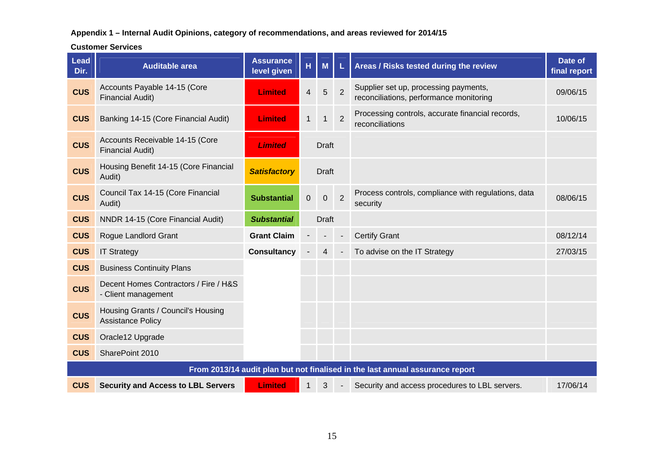**Customer Services**

| <b>Lead</b><br>Dir. | <b>Auditable area</b>                                          | <b>Assurance</b><br>level given | H           | M                       |                | Areas / Risks tested during the review                                           | Date of<br>final report |
|---------------------|----------------------------------------------------------------|---------------------------------|-------------|-------------------------|----------------|----------------------------------------------------------------------------------|-------------------------|
| <b>CUS</b>          | Accounts Payable 14-15 (Core<br><b>Financial Audit)</b>        | <b>Limited</b>                  | 4           | 5                       | $\overline{2}$ | Supplier set up, processing payments,<br>reconciliations, performance monitoring | 09/06/15                |
| <b>CUS</b>          | Banking 14-15 (Core Financial Audit)                           | <b>Limited</b>                  | $\mathbf 1$ | $\mathbf{1}$            | $\overline{2}$ | Processing controls, accurate financial records,<br>reconciliations              | 10/06/15                |
| <b>CUS</b>          | Accounts Receivable 14-15 (Core<br><b>Financial Audit)</b>     | <b>Limited</b>                  |             | Draft                   |                |                                                                                  |                         |
| <b>CUS</b>          | Housing Benefit 14-15 (Core Financial<br>Audit)                | <b>Satisfactory</b>             |             | <b>Draft</b>            |                |                                                                                  |                         |
| <b>CUS</b>          | Council Tax 14-15 (Core Financial<br>Audit)                    | <b>Substantial</b>              | 0           | $\mathbf 0$             | $\overline{2}$ | Process controls, compliance with regulations, data<br>security                  | 08/06/15                |
| <b>CUS</b>          | NNDR 14-15 (Core Financial Audit)                              | <b>Substantial</b>              |             | <b>Draft</b>            |                |                                                                                  |                         |
| <b>CUS</b>          | Rogue Landlord Grant                                           | <b>Grant Claim</b>              |             |                         |                | <b>Certify Grant</b>                                                             | 08/12/14                |
| <b>CUS</b>          | <b>IT Strategy</b>                                             | <b>Consultancy</b>              |             | $\overline{\mathbf{4}}$ |                | To advise on the IT Strategy                                                     | 27/03/15                |
| <b>CUS</b>          | <b>Business Continuity Plans</b>                               |                                 |             |                         |                |                                                                                  |                         |
| <b>CUS</b>          | Decent Homes Contractors / Fire / H&S<br>- Client management   |                                 |             |                         |                |                                                                                  |                         |
| <b>CUS</b>          | Housing Grants / Council's Housing<br><b>Assistance Policy</b> |                                 |             |                         |                |                                                                                  |                         |
| <b>CUS</b>          | Oracle12 Upgrade                                               |                                 |             |                         |                |                                                                                  |                         |
| <b>CUS</b>          | SharePoint 2010                                                |                                 |             |                         |                |                                                                                  |                         |
|                     |                                                                |                                 |             |                         |                | From 2013/14 audit plan but not finalised in the last annual assurance report    |                         |
| <b>CUS</b>          | <b>Security and Access to LBL Servers</b>                      | <b>Limited</b>                  | $\mathbf 1$ | 3                       |                | Security and access procedures to LBL servers.                                   | 17/06/14                |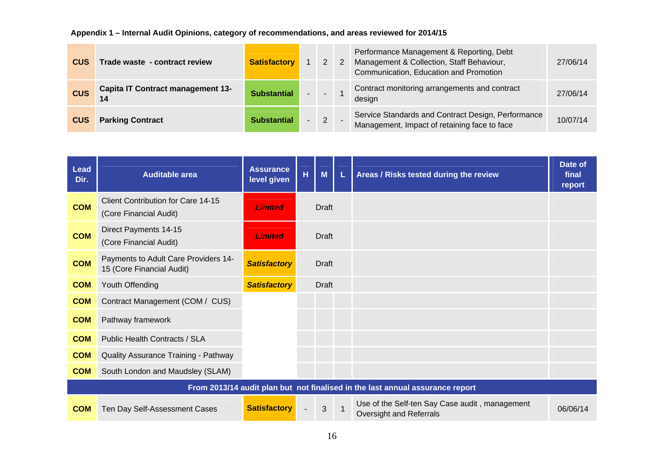| <b>CUS</b> | Trade waste - contract review            | <b>Satisfactory</b> | 1              |             | $2 \quad 2$ | Performance Management & Reporting, Debt<br>Management & Collection, Staff Behaviour,<br>Communication, Education and Promotion | 27/06/14 |
|------------|------------------------------------------|---------------------|----------------|-------------|-------------|---------------------------------------------------------------------------------------------------------------------------------|----------|
| <b>CUS</b> | <b>Capita IT Contract management 13-</b> | <b>Substantial</b>  | a Mar          | $\sim$      |             | Contract monitoring arrangements and contract<br>design                                                                         | 27/06/14 |
| <b>CUS</b> | <b>Parking Contract</b>                  | <b>Substantial</b>  | $\overline{a}$ | $2^{\circ}$ |             | Service Standards and Contract Design, Performance<br>Management, Impact of retaining face to face                              | 10/07/14 |

| <b>Lead</b><br>Dir. | <b>Auditable area</b>                                               | <b>Assurance</b><br>level given | $\overline{\mathsf{H}}$ | $M$          | L | Areas / Risks tested during the review                                        | Date of<br>final<br>report |
|---------------------|---------------------------------------------------------------------|---------------------------------|-------------------------|--------------|---|-------------------------------------------------------------------------------|----------------------------|
| <b>COM</b>          | <b>Client Contribution for Care 14-15</b><br>(Core Financial Audit) | <b>Limited</b>                  |                         | <b>Draft</b> |   |                                                                               |                            |
| <b>COM</b>          | Direct Payments 14-15<br>(Core Financial Audit)                     | <b>Limited</b>                  |                         | Draft        |   |                                                                               |                            |
| <b>COM</b>          | Payments to Adult Care Providers 14-<br>15 (Core Financial Audit)   | <b>Satisfactory</b>             |                         | <b>Draft</b> |   |                                                                               |                            |
| <b>COM</b>          | Youth Offending                                                     | <b>Satisfactory</b>             |                         | Draft        |   |                                                                               |                            |
| <b>COM</b>          | Contract Management (COM / CUS)                                     |                                 |                         |              |   |                                                                               |                            |
| <b>COM</b>          | Pathway framework                                                   |                                 |                         |              |   |                                                                               |                            |
| <b>COM</b>          | Public Health Contracts / SLA                                       |                                 |                         |              |   |                                                                               |                            |
| <b>COM</b>          | Quality Assurance Training - Pathway                                |                                 |                         |              |   |                                                                               |                            |
| <b>COM</b>          | South London and Maudsley (SLAM)                                    |                                 |                         |              |   |                                                                               |                            |
|                     |                                                                     |                                 |                         |              |   | From 2013/14 audit plan but not finalised in the last annual assurance report |                            |
| <b>COM</b>          | Ten Day Self-Assessment Cases                                       | <b>Satisfactory</b>             |                         | 3            |   | Use of the Self-ten Say Case audit, management<br>Oversight and Referrals     | 06/06/14                   |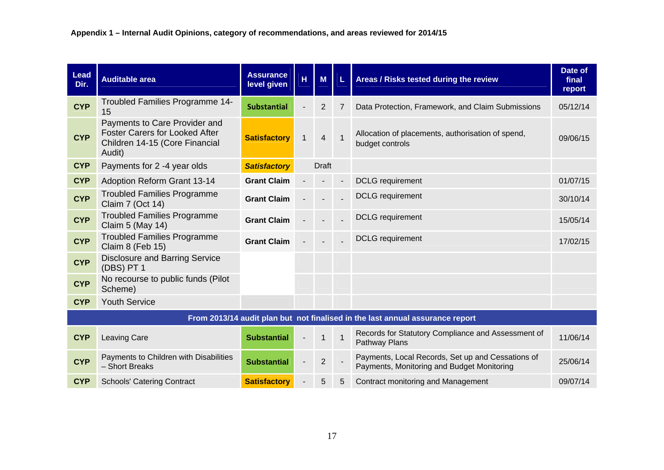| Lead<br>Dir. | <b>Auditable area</b>                                                                                              | <b>Assurance</b><br>level given | $\overline{\mathbf{H}}$ | M              | L.             | Areas / Risks tested during the review                                                          | Date of<br>final<br>report |
|--------------|--------------------------------------------------------------------------------------------------------------------|---------------------------------|-------------------------|----------------|----------------|-------------------------------------------------------------------------------------------------|----------------------------|
| <b>CYP</b>   | Troubled Families Programme 14-<br>15                                                                              | <b>Substantial</b>              |                         | $\overline{2}$ | 7              | Data Protection, Framework, and Claim Submissions                                               | 05/12/14                   |
| <b>CYP</b>   | Payments to Care Provider and<br><b>Foster Carers for Looked After</b><br>Children 14-15 (Core Financial<br>Audit) | <b>Satisfactory</b>             | $\mathbf{1}$            | $\overline{4}$ | $\overline{1}$ | Allocation of placements, authorisation of spend,<br>budget controls                            | 09/06/15                   |
| <b>CYP</b>   | Payments for 2 -4 year olds                                                                                        | <b>Satisfactory</b>             |                         | <b>Draft</b>   |                |                                                                                                 |                            |
| <b>CYP</b>   | <b>Adoption Reform Grant 13-14</b>                                                                                 | <b>Grant Claim</b>              |                         |                |                | <b>DCLG</b> requirement                                                                         | 01/07/15                   |
| <b>CYP</b>   | <b>Troubled Families Programme</b><br>Claim 7 (Oct 14)                                                             | <b>Grant Claim</b>              |                         |                |                | <b>DCLG</b> requirement                                                                         | 30/10/14                   |
| <b>CYP</b>   | <b>Troubled Families Programme</b><br>Claim 5 (May 14)                                                             | <b>Grant Claim</b>              |                         |                |                | <b>DCLG</b> requirement                                                                         | 15/05/14                   |
| <b>CYP</b>   | <b>Troubled Families Programme</b><br>Claim 8 (Feb 15)                                                             | <b>Grant Claim</b>              |                         |                |                | <b>DCLG</b> requirement                                                                         | 17/02/15                   |
| <b>CYP</b>   | <b>Disclosure and Barring Service</b><br>(DBS) PT 1                                                                |                                 |                         |                |                |                                                                                                 |                            |
| <b>CYP</b>   | No recourse to public funds (Pilot<br>Scheme)                                                                      |                                 |                         |                |                |                                                                                                 |                            |
| <b>CYP</b>   | <b>Youth Service</b>                                                                                               |                                 |                         |                |                |                                                                                                 |                            |
|              |                                                                                                                    |                                 |                         |                |                | From 2013/14 audit plan but not finalised in the last annual assurance report                   |                            |
| <b>CYP</b>   | <b>Leaving Care</b>                                                                                                | <b>Substantial</b>              |                         | $\mathbf{1}$   |                | Records for Statutory Compliance and Assessment of<br>Pathway Plans                             | 11/06/14                   |
| <b>CYP</b>   | Payments to Children with Disabilities<br>- Short Breaks                                                           | <b>Substantial</b>              |                         | $\overline{2}$ |                | Payments, Local Records, Set up and Cessations of<br>Payments, Monitoring and Budget Monitoring | 25/06/14                   |
| <b>CYP</b>   | <b>Schools' Catering Contract</b>                                                                                  | <b>Satisfactory</b>             |                         | 5              | 5              | <b>Contract monitoring and Management</b>                                                       | 09/07/14                   |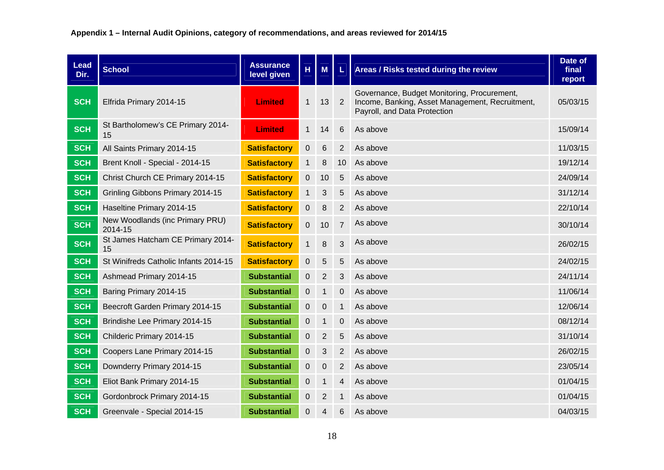| <b>Lead</b><br>Dir. | <b>School</b>                              | <b>Assurance</b><br>level given | H            | M               | L               | Areas / Risks tested during the review                                                                                         | Date of<br>final<br>report |
|---------------------|--------------------------------------------|---------------------------------|--------------|-----------------|-----------------|--------------------------------------------------------------------------------------------------------------------------------|----------------------------|
| <b>SCH</b>          | Elfrida Primary 2014-15                    | <b>Limited</b>                  | $\mathbf{1}$ | 13              | 2               | Governance, Budget Monitoring, Procurement,<br>Income, Banking, Asset Management, Recruitment,<br>Payroll, and Data Protection | 05/03/15                   |
| <b>SCH</b>          | St Bartholomew's CE Primary 2014-<br>15    | <b>Limited</b>                  | $\mathbf{1}$ | 14              | $6\,$           | As above                                                                                                                       | 15/09/14                   |
| <b>SCH</b>          | All Saints Primary 2014-15                 | <b>Satisfactory</b>             | 0            | $6\phantom{1}6$ | $\overline{2}$  | As above                                                                                                                       | 11/03/15                   |
| <b>SCH</b>          | Brent Knoll - Special - 2014-15            | <b>Satisfactory</b>             | $\mathbf{1}$ | 8               | 10 <sup>°</sup> | As above                                                                                                                       | 19/12/14                   |
| <b>SCH</b>          | Christ Church CE Primary 2014-15           | <b>Satisfactory</b>             | 0            | 10              | 5               | As above                                                                                                                       | 24/09/14                   |
| <b>SCH</b>          | Grinling Gibbons Primary 2014-15           | <b>Satisfactory</b>             | $\mathbf 1$  | 3               | 5               | As above                                                                                                                       | 31/12/14                   |
| <b>SCH</b>          | Haseltine Primary 2014-15                  | <b>Satisfactory</b>             | 0            | 8               | $\overline{2}$  | As above                                                                                                                       | 22/10/14                   |
| <b>SCH</b>          | New Woodlands (inc Primary PRU)<br>2014-15 | <b>Satisfactory</b>             | 0            | 10              | $\overline{7}$  | As above                                                                                                                       | 30/10/14                   |
| <b>SCH</b>          | St James Hatcham CE Primary 2014-<br>15    | <b>Satisfactory</b>             | $\mathbf{1}$ | 8               | 3               | As above                                                                                                                       | 26/02/15                   |
| <b>SCH</b>          | St Winifreds Catholic Infants 2014-15      | <b>Satisfactory</b>             | 0            | 5               | 5               | As above                                                                                                                       | 24/02/15                   |
| <b>SCH</b>          | Ashmead Primary 2014-15                    | <b>Substantial</b>              | 0            | $\overline{2}$  | 3               | As above                                                                                                                       | 24/11/14                   |
| <b>SCH</b>          | Baring Primary 2014-15                     | <b>Substantial</b>              | 0            | $\mathbf{1}$    | 0               | As above                                                                                                                       | 11/06/14                   |
| <b>SCH</b>          | Beecroft Garden Primary 2014-15            | <b>Substantial</b>              | 0            | $\mathbf 0$     | $\mathbf{1}$    | As above                                                                                                                       | 12/06/14                   |
| <b>SCH</b>          | Brindishe Lee Primary 2014-15              | <b>Substantial</b>              | 0            | $\mathbf{1}$    | $\overline{0}$  | As above                                                                                                                       | 08/12/14                   |
| <b>SCH</b>          | Childeric Primary 2014-15                  | <b>Substantial</b>              | 0            | $\overline{2}$  | 5               | As above                                                                                                                       | 31/10/14                   |
| <b>SCH</b>          | Coopers Lane Primary 2014-15               | <b>Substantial</b>              | 0            | 3               | 2               | As above                                                                                                                       | 26/02/15                   |
| <b>SCH</b>          | Downderry Primary 2014-15                  | <b>Substantial</b>              | 0            | $\mathbf 0$     | 2               | As above                                                                                                                       | 23/05/14                   |
| <b>SCH</b>          | Eliot Bank Primary 2014-15                 | <b>Substantial</b>              | 0            | $\mathbf{1}$    | 4               | As above                                                                                                                       | 01/04/15                   |
| <b>SCH</b>          | Gordonbrock Primary 2014-15                | <b>Substantial</b>              | 0            | $\overline{2}$  | $\mathbf 1$     | As above                                                                                                                       | 01/04/15                   |
| <b>SCH</b>          | Greenvale - Special 2014-15                | <b>Substantial</b>              | 0            | 4               | 6               | As above                                                                                                                       | 04/03/15                   |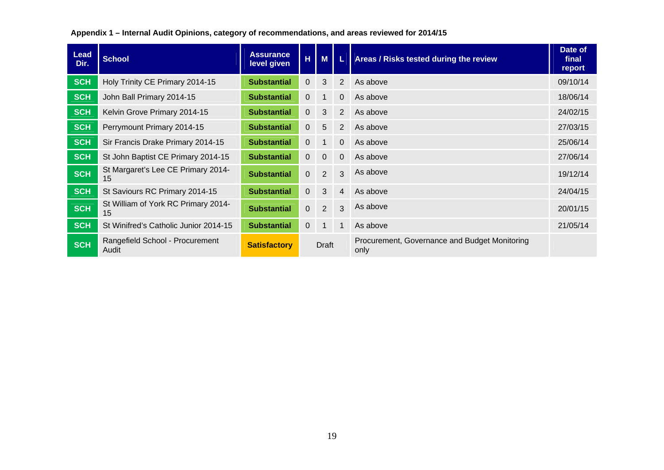| <b>Lead</b><br>Dir. | <b>School</b>                             | <b>Assurance</b><br>level given | H,             | M               |                | Areas / Risks tested during the review                | Date of<br>final<br>report |
|---------------------|-------------------------------------------|---------------------------------|----------------|-----------------|----------------|-------------------------------------------------------|----------------------------|
| <b>SCH</b>          | Holy Trinity CE Primary 2014-15           | <b>Substantial</b>              | $\Omega$       | 3               | $\overline{2}$ | As above                                              | 09/10/14                   |
| <b>SCH</b>          | John Ball Primary 2014-15                 | <b>Substantial</b>              | 0              | 1               | $\overline{0}$ | As above                                              | 18/06/14                   |
| <b>SCH</b>          | Kelvin Grove Primary 2014-15              | <b>Substantial</b>              | $\mathbf 0$    | $\mathbf{3}$    | 2              | As above                                              | 24/02/15                   |
| <b>SCH</b>          | Perrymount Primary 2014-15                | <b>Substantial</b>              | $\overline{0}$ | $5\phantom{.0}$ | 2              | As above                                              | 27/03/15                   |
| <b>SCH</b>          | Sir Francis Drake Primary 2014-15         | <b>Substantial</b>              | 0              | 1               | $\Omega$       | As above                                              | 25/06/14                   |
| <b>SCH</b>          | St John Baptist CE Primary 2014-15        | <b>Substantial</b>              | 0              | $\overline{0}$  | 0              | As above                                              | 27/06/14                   |
| <b>SCH</b>          | St Margaret's Lee CE Primary 2014-<br>15  | <b>Substantial</b>              | $\overline{0}$ | 2               | 3              | As above                                              | 19/12/14                   |
| <b>SCH</b>          | St Saviours RC Primary 2014-15            | <b>Substantial</b>              | $\Omega$       | $\mathbf{3}$    | 4              | As above                                              | 24/04/15                   |
| <b>SCH</b>          | St William of York RC Primary 2014-<br>15 | <b>Substantial</b>              | $\mathbf 0$    | 2               | 3              | As above                                              | 20/01/15                   |
| <b>SCH</b>          | St Winifred's Catholic Junior 2014-15     | <b>Substantial</b>              | $\Omega$       | $\mathbf 1$     | $\mathbf 1$    | As above                                              | 21/05/14                   |
| <b>SCH</b>          | Rangefield School - Procurement<br>Audit  | <b>Satisfactory</b>             | Draft          |                 |                | Procurement, Governance and Budget Monitoring<br>only |                            |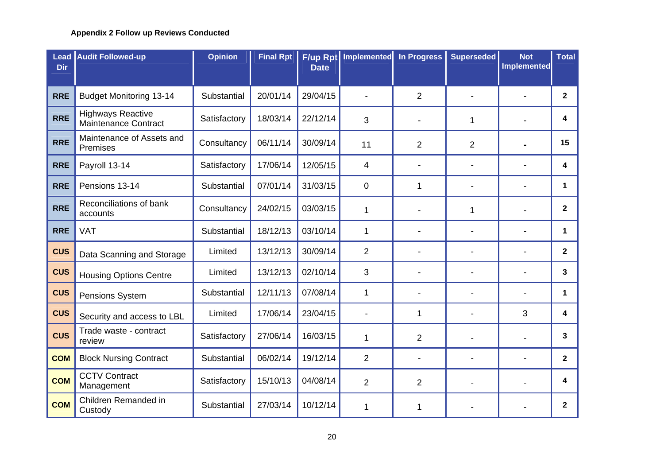#### **Appendix 2 Follow up Reviews Conducted**

| <b>Dir</b> | <b>Lead Audit Followed-up</b>                           | <b>Opinion</b> | <b>Final Rpt</b> | <b>Date</b> | <b>F/up Rpt Implemented</b> | <b>In Progress</b> | <b>Superseded</b> | <b>Not</b><br><b>Implemented</b> | <b>Total</b> |
|------------|---------------------------------------------------------|----------------|------------------|-------------|-----------------------------|--------------------|-------------------|----------------------------------|--------------|
|            |                                                         |                |                  |             |                             |                    |                   |                                  |              |
| <b>RRE</b> | <b>Budget Monitoring 13-14</b>                          | Substantial    | 20/01/14         | 29/04/15    |                             | $\overline{2}$     |                   |                                  | $\mathbf{2}$ |
| <b>RRE</b> | <b>Highways Reactive</b><br><b>Maintenance Contract</b> | Satisfactory   | 18/03/14         | 22/12/14    | 3                           | $\blacksquare$     | 1                 |                                  | 4            |
| <b>RRE</b> | Maintenance of Assets and<br>Premises                   | Consultancy    | 06/11/14         | 30/09/14    | 11                          | $\overline{2}$     | $\overline{2}$    |                                  | 15           |
| <b>RRE</b> | Payroll 13-14                                           | Satisfactory   | 17/06/14         | 12/05/15    | 4                           | $\blacksquare$     |                   |                                  | 4            |
| <b>RRE</b> | Pensions 13-14                                          | Substantial    | 07/01/14         | 31/03/15    | 0                           | 1                  |                   | -                                | $\mathbf 1$  |
| <b>RRE</b> | Reconciliations of bank<br>accounts                     | Consultancy    | 24/02/15         | 03/03/15    | 1                           |                    | 1                 |                                  | $\mathbf{2}$ |
| <b>RRE</b> | <b>VAT</b>                                              | Substantial    | 18/12/13         | 03/10/14    | 1                           | $\blacksquare$     |                   |                                  | 1            |
| <b>CUS</b> | Data Scanning and Storage                               | Limited        | 13/12/13         | 30/09/14    | $\overline{2}$              |                    |                   |                                  | $\mathbf{2}$ |
| <b>CUS</b> | <b>Housing Options Centre</b>                           | Limited        | 13/12/13         | 02/10/14    | 3                           |                    |                   |                                  | 3            |
| <b>CUS</b> | Pensions System                                         | Substantial    | 12/11/13         | 07/08/14    | 1                           | $\blacksquare$     |                   |                                  | 1            |
| <b>CUS</b> | Security and access to LBL                              | Limited        | 17/06/14         | 23/04/15    |                             | 1                  |                   | 3                                | 4            |
| <b>CUS</b> | Trade waste - contract<br>review                        | Satisfactory   | 27/06/14         | 16/03/15    | $\mathbf 1$                 | $\overline{2}$     |                   | $\overline{a}$                   | 3            |
| <b>COM</b> | <b>Block Nursing Contract</b>                           | Substantial    | 06/02/14         | 19/12/14    | $\overline{2}$              | $\blacksquare$     |                   | -                                | $\mathbf{2}$ |
| <b>COM</b> | <b>CCTV Contract</b><br>Management                      | Satisfactory   | 15/10/13         | 04/08/14    | $\overline{2}$              | $\overline{2}$     |                   |                                  | 4            |
| <b>COM</b> | Children Remanded in<br>Custody                         | Substantial    | 27/03/14         | 10/12/14    | 1                           | 1                  |                   |                                  | $\mathbf{2}$ |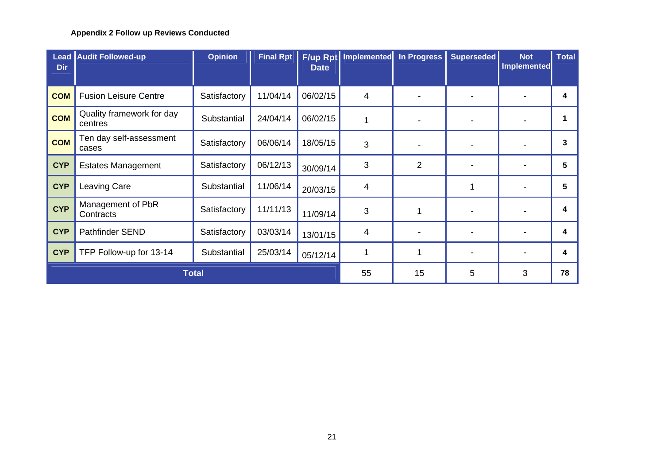#### **Appendix 2 Follow up Reviews Conducted**

| <b>Dir</b> | <b>Lead Audit Followed-up</b>        | <b>Opinion</b> | <b>Final Rpt</b> | <b>Date</b> | F/up Rpt Implemented In Progress |                          | <b>Superseded</b> | <b>Not</b><br>Implemented | Total |
|------------|--------------------------------------|----------------|------------------|-------------|----------------------------------|--------------------------|-------------------|---------------------------|-------|
|            |                                      |                |                  |             |                                  |                          |                   |                           |       |
| <b>COM</b> | <b>Fusion Leisure Centre</b>         | Satisfactory   | 11/04/14         | 06/02/15    | 4                                | $\overline{\phantom{a}}$ |                   |                           | 4     |
| <b>COM</b> | Quality framework for day<br>centres | Substantial    | 24/04/14         | 06/02/15    |                                  | $\overline{\phantom{a}}$ |                   |                           |       |
| <b>COM</b> | Ten day self-assessment<br>cases     | Satisfactory   | 06/06/14         | 18/05/15    | 3                                | $\overline{\phantom{a}}$ |                   |                           | 3     |
| <b>CYP</b> | <b>Estates Management</b>            | Satisfactory   | 06/12/13         | 30/09/14    | 3                                | $\overline{2}$           |                   |                           | 5     |
| <b>CYP</b> | Leaving Care                         | Substantial    | 11/06/14         | 20/03/15    | 4                                |                          | 1                 |                           | 5     |
| <b>CYP</b> | Management of PbR<br>Contracts       | Satisfactory   | 11/11/13         | 11/09/14    | 3                                |                          |                   |                           | 4     |
| <b>CYP</b> | Pathfinder SEND                      | Satisfactory   | 03/03/14         | 13/01/15    | 4                                | $\overline{\phantom{a}}$ |                   |                           | 4     |
| <b>CYP</b> | TFP Follow-up for 13-14              | Substantial    | 25/03/14         | 05/12/14    |                                  |                          |                   |                           | 4     |
|            |                                      | <b>Total</b>   | 55               | 15          | 5                                | 3                        | 78                |                           |       |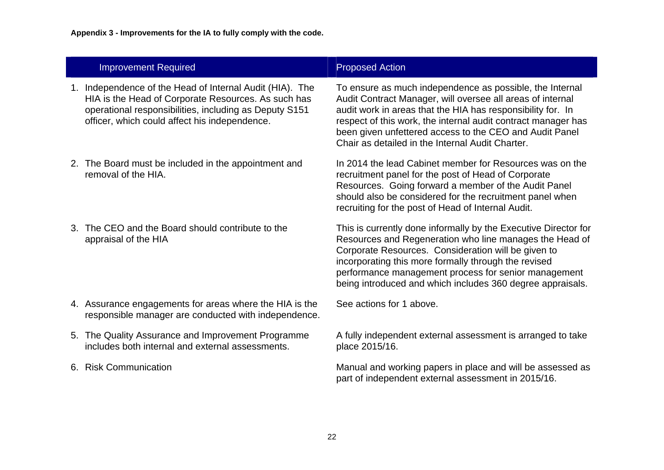| <b>Improvement Required</b>                                                                                                                                                                                                | <b>Proposed Action</b>                                                                                                                                                                                                                                                                                                                                                |
|----------------------------------------------------------------------------------------------------------------------------------------------------------------------------------------------------------------------------|-----------------------------------------------------------------------------------------------------------------------------------------------------------------------------------------------------------------------------------------------------------------------------------------------------------------------------------------------------------------------|
| 1. Independence of the Head of Internal Audit (HIA). The<br>HIA is the Head of Corporate Resources. As such has<br>operational responsibilities, including as Deputy S151<br>officer, which could affect his independence. | To ensure as much independence as possible, the Internal<br>Audit Contract Manager, will oversee all areas of internal<br>audit work in areas that the HIA has responsibility for. In<br>respect of this work, the internal audit contract manager has<br>been given unfettered access to the CEO and Audit Panel<br>Chair as detailed in the Internal Audit Charter. |
| 2. The Board must be included in the appointment and<br>removal of the HIA.                                                                                                                                                | In 2014 the lead Cabinet member for Resources was on the<br>recruitment panel for the post of Head of Corporate<br>Resources. Going forward a member of the Audit Panel<br>should also be considered for the recruitment panel when<br>recruiting for the post of Head of Internal Audit.                                                                             |
| 3. The CEO and the Board should contribute to the<br>appraisal of the HIA                                                                                                                                                  | This is currently done informally by the Executive Director for<br>Resources and Regeneration who line manages the Head of<br>Corporate Resources. Consideration will be given to<br>incorporating this more formally through the revised<br>performance management process for senior management<br>being introduced and which includes 360 degree appraisals.       |
| 4. Assurance engagements for areas where the HIA is the<br>responsible manager are conducted with independence.                                                                                                            | See actions for 1 above.                                                                                                                                                                                                                                                                                                                                              |
| 5. The Quality Assurance and Improvement Programme<br>includes both internal and external assessments.                                                                                                                     | A fully independent external assessment is arranged to take<br>place 2015/16.                                                                                                                                                                                                                                                                                         |
| 6. Risk Communication                                                                                                                                                                                                      | Manual and working papers in place and will be assessed as<br>part of independent external assessment in 2015/16.                                                                                                                                                                                                                                                     |